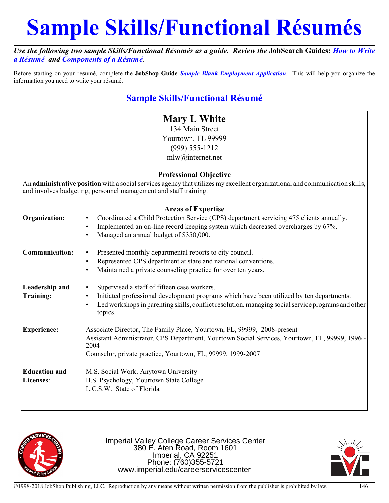# **Sample Skills/Functional Résumés**

*Use the following two sample Skills/Functional Résumés as a guide. Review the* **JobSearch Guides:** *How to Write a Résumé and Components of a Résumé.*

Before starting on your résumé, complete the **JobShop Guide** *Sample Blank Employment Application*. This will help you organize the information you need to write your résumé.

# **Sample Skills/Functional Résumé**

|                                                                                                                                                                                                  | <b>Mary L White</b>                                                                                           |
|--------------------------------------------------------------------------------------------------------------------------------------------------------------------------------------------------|---------------------------------------------------------------------------------------------------------------|
|                                                                                                                                                                                                  | 134 Main Street                                                                                               |
|                                                                                                                                                                                                  | Yourtown, FL 99999                                                                                            |
|                                                                                                                                                                                                  | $(999) 555 - 1212$                                                                                            |
|                                                                                                                                                                                                  | mlw@internet.net                                                                                              |
|                                                                                                                                                                                                  |                                                                                                               |
| <b>Professional Objective</b>                                                                                                                                                                    |                                                                                                               |
| An administrative position with a social services agency that utilizes my excellent organizational and communication skills,<br>and involves budgeting, personnel management and staff training. |                                                                                                               |
| <b>Areas of Expertise</b>                                                                                                                                                                        |                                                                                                               |
| Organization:                                                                                                                                                                                    | Coordinated a Child Protection Service (CPS) department servicing 475 clients annually.                       |
|                                                                                                                                                                                                  | Implemented an on-line record keeping system which decreased overcharges by 67%.<br>$\bullet$                 |
|                                                                                                                                                                                                  | Managed an annual budget of \$350,000.<br>$\bullet$                                                           |
| <b>Communication:</b>                                                                                                                                                                            | Presented monthly departmental reports to city council.<br>$\bullet$                                          |
|                                                                                                                                                                                                  | Represented CPS department at state and national conventions.<br>$\bullet$                                    |
|                                                                                                                                                                                                  | Maintained a private counseling practice for over ten years.<br>$\bullet$                                     |
| <b>Leadership and</b>                                                                                                                                                                            | Supervised a staff of fifteen case workers.                                                                   |
| Training:                                                                                                                                                                                        | Initiated professional development programs which have been utilized by ten departments.<br>$\bullet$         |
|                                                                                                                                                                                                  | Led workshops in parenting skills, conflict resolution, managing social service programs and other<br>topics. |
| <b>Experience:</b>                                                                                                                                                                               | Associate Director, The Family Place, Yourtown, FL, 99999, 2008-present                                       |
|                                                                                                                                                                                                  | Assistant Administrator, CPS Department, Yourtown Social Services, Yourtown, FL, 99999, 1996 -<br>2004        |
|                                                                                                                                                                                                  | Counselor, private practice, Yourtown, FL, 99999, 1999-2007                                                   |
| <b>Education and</b>                                                                                                                                                                             | M.S. Social Work, Anytown University                                                                          |
| Licenses:                                                                                                                                                                                        | B.S. Psychology, Yourtown State College                                                                       |
|                                                                                                                                                                                                  | L.C.S.W. State of Florida                                                                                     |
|                                                                                                                                                                                                  |                                                                                                               |



Imperial Valley College Career Services Center 380 E. Aten Road, Room 1601 Imperial, CA 92251 Phone: (760)355-5721 www.imperial.edu/careerservicescenter